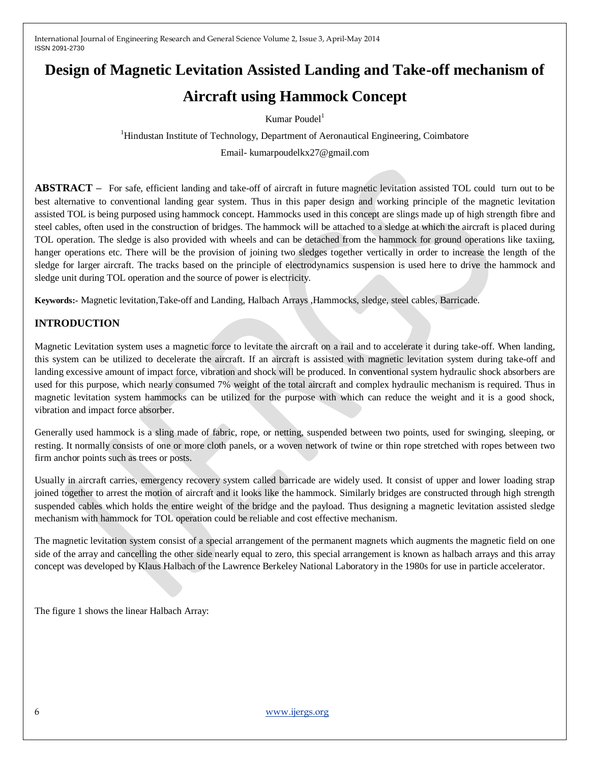# **Design of Magnetic Levitation Assisted Landing and Take-off mechanism of**

## **Aircraft using Hammock Concept**

Kumar Poudel<sup>1</sup>

<sup>1</sup>Hindustan Institute of Technology, Department of Aeronautical Engineering, Coimbatore Email- kumarpoudelkx27@gmail.com

**ABSTRACT –** For safe, efficient landing and take-off of aircraft in future magnetic levitation assisted TOL could turn out to be best alternative to conventional landing gear system. Thus in this paper design and working principle of the magnetic levitation assisted TOL is being purposed using hammock concept. Hammocks used in this concept are slings made up of high strength fibre and steel cables, often used in the construction of bridges. The hammock will be attached to a sledge at which the aircraft is placed during TOL operation. The sledge is also provided with wheels and can be detached from the hammock for ground operations like taxiing, hanger operations etc. There will be the provision of joining two sledges together vertically in order to increase the length of the sledge for larger aircraft. The tracks based on the principle of electrodynamics suspension is used here to drive the hammock and sledge unit during TOL operation and the source of power is electricity.

**Keywords:-** Magnetic levitation,Take-off and Landing, Halbach Arrays ,Hammocks, sledge, steel cables, Barricade.

## **INTRODUCTION**

Magnetic Levitation system uses a magnetic force to levitate the aircraft on a rail and to accelerate it during take-off. When landing, this system can be utilized to decelerate the aircraft. If an aircraft is assisted with magnetic levitation system during take-off and landing excessive amount of impact force, vibration and shock will be produced. In conventional system hydraulic shock absorbers are used for this purpose, which nearly consumed 7% weight of the total aircraft and complex hydraulic mechanism is required. Thus in magnetic levitation system hammocks can be utilized for the purpose with which can reduce the weight and it is a good shock, vibration and impact force absorber.

Generally used hammock is a sling made of fabric, rope, or netting, suspended between two points, used for swinging, sleeping, or resting. It normally consists of one or more cloth panels, or a woven network of twine or thin rope stretched with ropes between two firm anchor points such as trees or posts.

Usually in aircraft carries, emergency recovery system called barricade are widely used. It consist of upper and lower loading strap joined together to arrest the motion of aircraft and it looks like the hammock. Similarly bridges are constructed through high strength suspended cables which holds the entire weight of the bridge and the payload. Thus designing a magnetic levitation assisted sledge mechanism with hammock for TOL operation could be reliable and cost effective mechanism.

The magnetic levitation system consist of a special arrangement of the permanent magnets which augments the magnetic field on one side of the array and cancelling the other side nearly equal to zero, this special arrangement is known as halbach arrays and this array concept was developed by Klaus Halbach of the Lawrence Berkeley National Laboratory in the 1980s for use in particle accelerator.

The figure 1 shows the linear Halbach Array: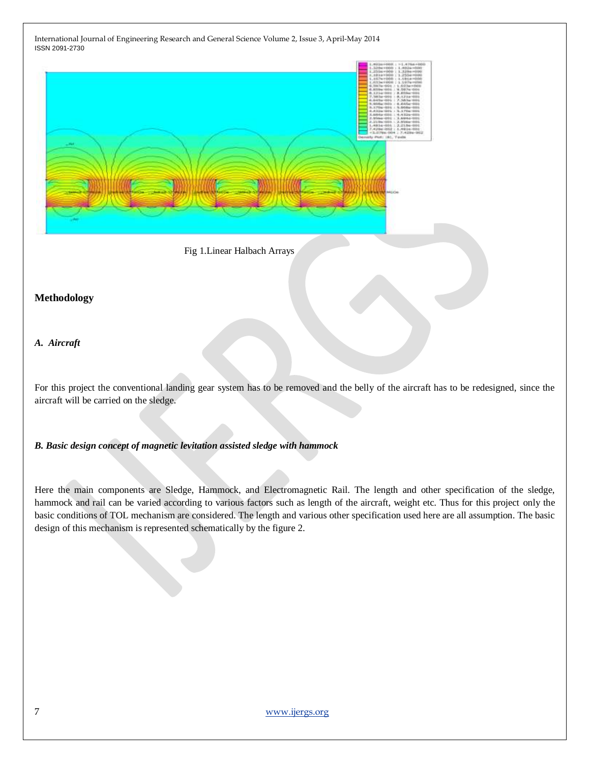

Fig 1.Linear Halbach Arrays

#### **Methodology**

#### *A. Aircraft*

For this project the conventional landing gear system has to be removed and the belly of the aircraft has to be redesigned, since the aircraft will be carried on the sledge.

*B. Basic design concept of magnetic levitation assisted sledge with hammock*

Here the main components are Sledge, Hammock, and Electromagnetic Rail. The length and other specification of the sledge, hammock and rail can be varied according to various factors such as length of the aircraft, weight etc. Thus for this project only the basic conditions of TOL mechanism are considered. The length and various other specification used here are all assumption. The basic design of this mechanism is represented schematically by the figure 2.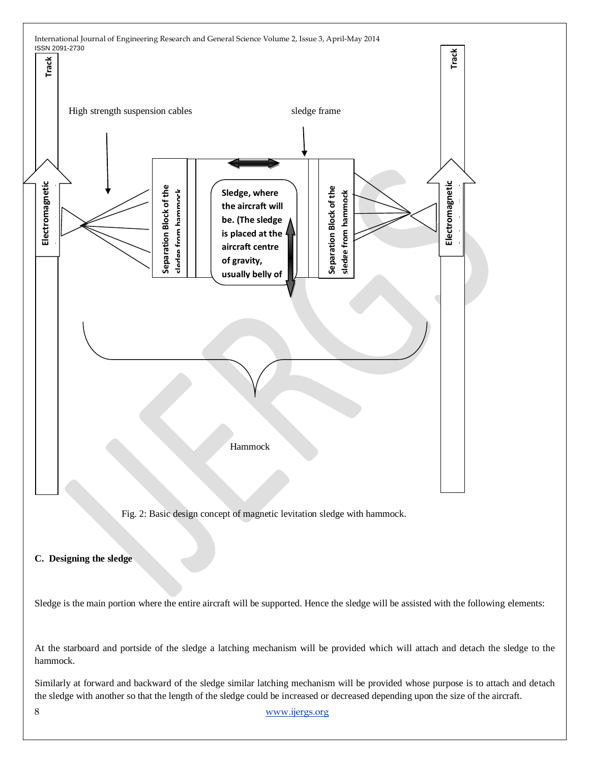

Fig. 2: Basic design concept of magnetic levitation sledge with hammock.

**C. Designing the sledge**

Sledge is the main portion where the entire aircraft will be supported. Hence the sledge will be assisted with the following elements:

At the starboard and portside of the sledge a latching mechanism will be provided which will attach and detach the sledge to the hammock.

Similarly at forward and backward of the sledge similar latching mechanism will be provided whose purpose is to attach and detach

8 [www.ijergs.org](http://www.ijergs.org/)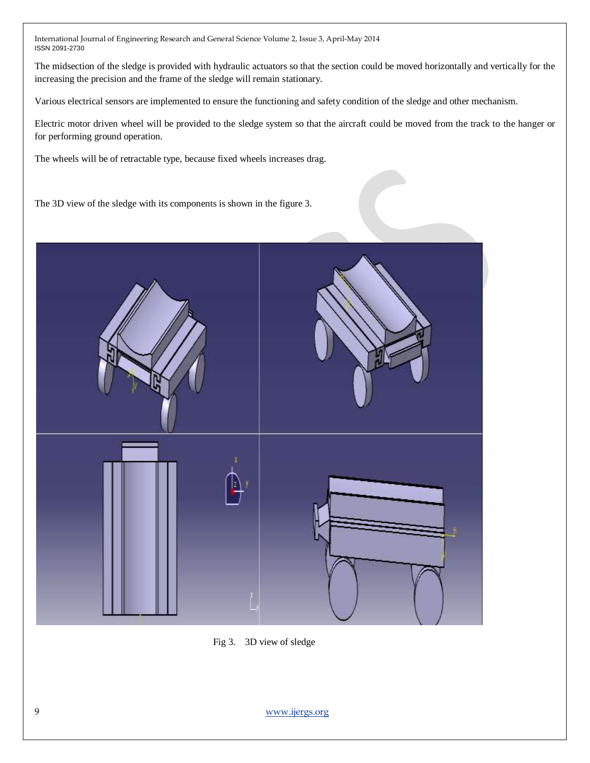The midsection of the sledge is provided with hydraulic actuators so that the section could be moved horizontally and vertically for the increasing the precision and the frame of the sledge will remain stationary.

Various electrical sensors are implemented to ensure the functioning and safety condition of the sledge and other mechanism.

Electric motor driven wheel will be provided to the sledge system so that the aircraft could be moved from the track to the hanger or for performing ground operation.

The wheels will be of retractable type, because fixed wheels increases drag.

The 3D view of the sledge with its components is shown in the figure 3.



Fig 3. 3D view of sledge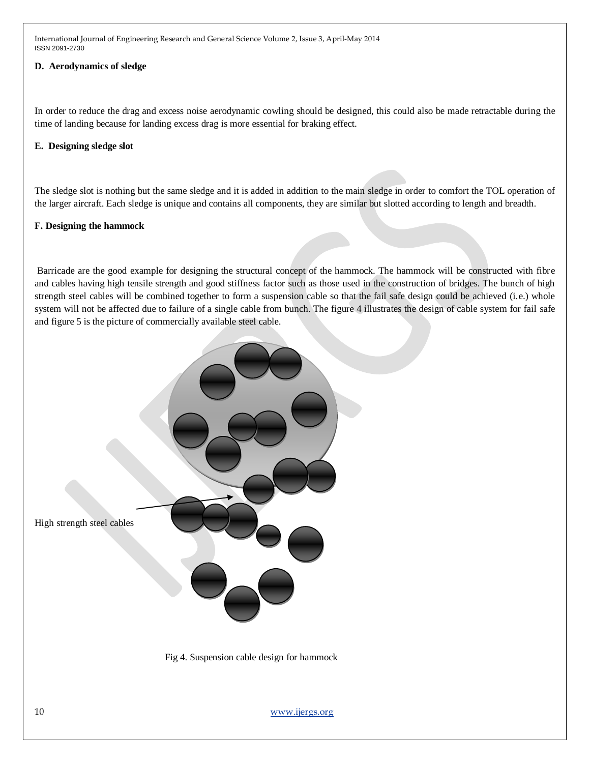#### **D. Aerodynamics of sledge**

In order to reduce the drag and excess noise aerodynamic cowling should be designed, this could also be made retractable during the time of landing because for landing excess drag is more essential for braking effect.

#### **E. Designing sledge slot**

The sledge slot is nothing but the same sledge and it is added in addition to the main sledge in order to comfort the TOL operation of the larger aircraft. Each sledge is unique and contains all components, they are similar but slotted according to length and breadth.

#### **F. Designing the hammock**

Barricade are the good example for designing the structural concept of the hammock. The hammock will be constructed with fibre and cables having high tensile strength and good stiffness factor such as those used in the construction of bridges. The bunch of high strength steel cables will be combined together to form a suspension cable so that the fail safe design could be achieved (i.e.) whole system will not be affected due to failure of a single cable from bunch. The figure 4 illustrates the design of cable system for fail safe and figure 5 is the picture of commercially available steel cable.

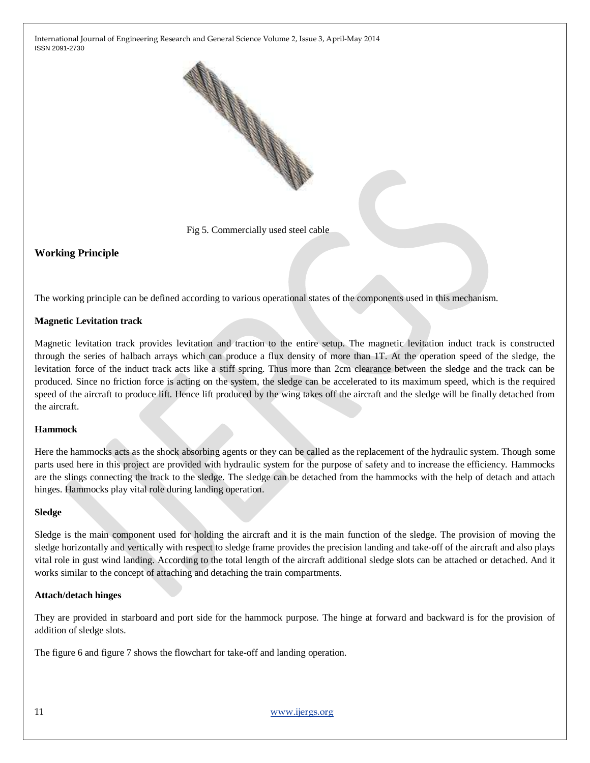

Fig 5. Commercially used steel cable

#### **Working Principle**

The working principle can be defined according to various operational states of the components used in this mechanism.

#### **Magnetic Levitation track**

Magnetic levitation track provides levitation and traction to the entire setup. The magnetic levitation induct track is constructed through the series of halbach arrays which can produce a flux density of more than 1T. At the operation speed of the sledge, the levitation force of the induct track acts like a stiff spring. Thus more than 2cm clearance between the sledge and the track can be produced. Since no friction force is acting on the system, the sledge can be accelerated to its maximum speed, which is the required speed of the aircraft to produce lift. Hence lift produced by the wing takes off the aircraft and the sledge will be finally detached from the aircraft.

#### **Hammock**

Here the hammocks acts as the shock absorbing agents or they can be called as the replacement of the hydraulic system. Though some parts used here in this project are provided with hydraulic system for the purpose of safety and to increase the efficiency. Hammocks are the slings connecting the track to the sledge. The sledge can be detached from the hammocks with the help of detach and attach hinges. Hammocks play vital role during landing operation.

#### **Sledge**

Sledge is the main component used for holding the aircraft and it is the main function of the sledge. The provision of moving the sledge horizontally and vertically with respect to sledge frame provides the precision landing and take-off of the aircraft and also plays vital role in gust wind landing. According to the total length of the aircraft additional sledge slots can be attached or detached. And it works similar to the concept of attaching and detaching the train compartments.

#### **Attach/detach hinges**

They are provided in starboard and port side for the hammock purpose. The hinge at forward and backward is for the provision of addition of sledge slots.

The figure 6 and figure 7 shows the flowchart for take-off and landing operation.

11 [www.ijergs.org](http://www.ijergs.org/)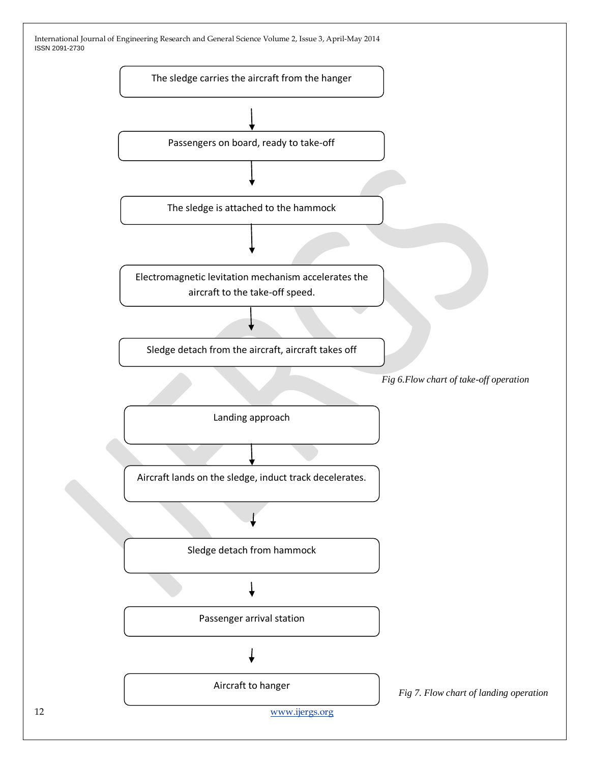